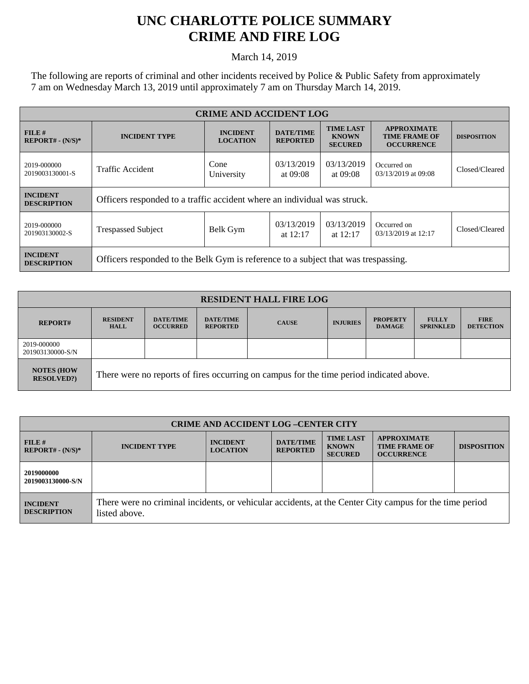## **UNC CHARLOTTE POLICE SUMMARY CRIME AND FIRE LOG**

March 14, 2019

The following are reports of criminal and other incidents received by Police & Public Safety from approximately 7 am on Wednesday March 13, 2019 until approximately 7 am on Thursday March 14, 2019.

| <b>CRIME AND ACCIDENT LOG</b>         |                                                                                    |                                    |                                     |                                                    |                                                                 |                    |
|---------------------------------------|------------------------------------------------------------------------------------|------------------------------------|-------------------------------------|----------------------------------------------------|-----------------------------------------------------------------|--------------------|
| FILE#<br>$REPORT# - (N/S)*$           | <b>INCIDENT TYPE</b>                                                               | <b>INCIDENT</b><br><b>LOCATION</b> | <b>DATE/TIME</b><br><b>REPORTED</b> | <b>TIME LAST</b><br><b>KNOWN</b><br><b>SECURED</b> | <b>APPROXIMATE</b><br><b>TIME FRAME OF</b><br><b>OCCURRENCE</b> | <b>DISPOSITION</b> |
| 2019-000000<br>2019003130001-S        | <b>Traffic Accident</b>                                                            | Cone<br>University                 | 03/13/2019<br>at $09:08$            | 03/13/2019<br>at 09:08                             | Occurred on<br>03/13/2019 at 09:08                              | Closed/Cleared     |
| <b>INCIDENT</b><br><b>DESCRIPTION</b> | Officers responded to a traffic accident where an individual was struck.           |                                    |                                     |                                                    |                                                                 |                    |
| 2019-000000<br>201903130002-S         | <b>Trespassed Subject</b>                                                          | Belk Gym                           | 03/13/2019<br>at $12:17$            | 03/13/2019<br>at $12:17$                           | Occurred on<br>03/13/2019 at 12:17                              | Closed/Cleared     |
| <b>INCIDENT</b><br><b>DESCRIPTION</b> | Officers responded to the Belk Gym is reference to a subject that was trespassing. |                                    |                                     |                                                    |                                                                 |                    |

| <b>RESIDENT HALL FIRE LOG</b>         |                                                                                         |                                     |                                     |              |                 |                                  |                                  |                                 |
|---------------------------------------|-----------------------------------------------------------------------------------------|-------------------------------------|-------------------------------------|--------------|-----------------|----------------------------------|----------------------------------|---------------------------------|
| <b>REPORT#</b>                        | <b>RESIDENT</b><br>HALL                                                                 | <b>DATE/TIME</b><br><b>OCCURRED</b> | <b>DATE/TIME</b><br><b>REPORTED</b> | <b>CAUSE</b> | <b>INJURIES</b> | <b>PROPERTY</b><br><b>DAMAGE</b> | <b>FULLY</b><br><b>SPRINKLED</b> | <b>FIRE</b><br><b>DETECTION</b> |
| 2019-000000<br>201903130000-S/N       |                                                                                         |                                     |                                     |              |                 |                                  |                                  |                                 |
| <b>NOTES (HOW</b><br><b>RESOLVED?</b> | There were no reports of fires occurring on campus for the time period indicated above. |                                     |                                     |              |                 |                                  |                                  |                                 |

| <b>CRIME AND ACCIDENT LOG-CENTER CITY</b> |                                                                                                                          |                                    |                                     |                                                    |                                                                 |                    |
|-------------------------------------------|--------------------------------------------------------------------------------------------------------------------------|------------------------------------|-------------------------------------|----------------------------------------------------|-----------------------------------------------------------------|--------------------|
| $FILE$ #<br>$REPORT# - (N/S)*$            | <b>INCIDENT TYPE</b>                                                                                                     | <b>INCIDENT</b><br><b>LOCATION</b> | <b>DATE/TIME</b><br><b>REPORTED</b> | <b>TIME LAST</b><br><b>KNOWN</b><br><b>SECURED</b> | <b>APPROXIMATE</b><br><b>TIME FRAME OF</b><br><b>OCCURRENCE</b> | <b>DISPOSITION</b> |
| 2019000000<br>2019003130000-S/N           |                                                                                                                          |                                    |                                     |                                                    |                                                                 |                    |
| <b>INCIDENT</b><br><b>DESCRIPTION</b>     | There were no criminal incidents, or vehicular accidents, at the Center City campus for the time period<br>listed above. |                                    |                                     |                                                    |                                                                 |                    |